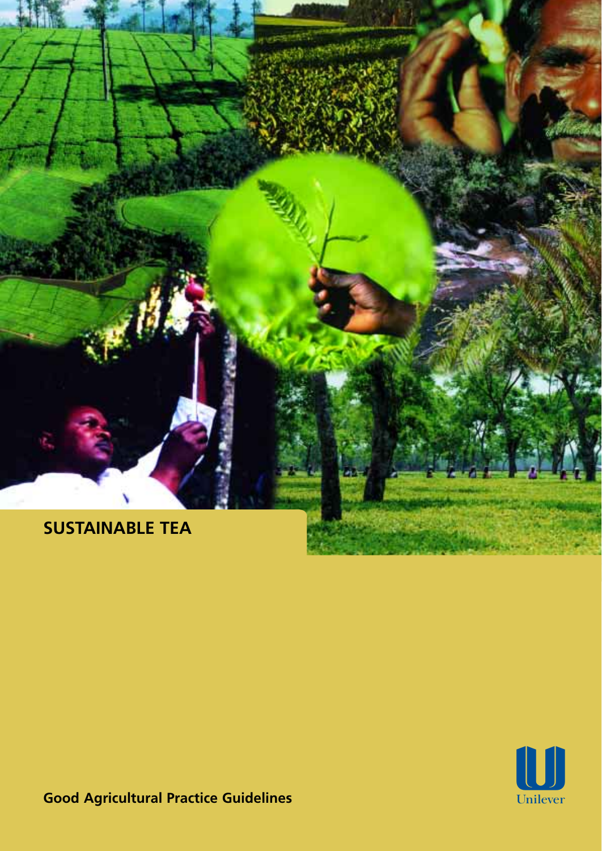

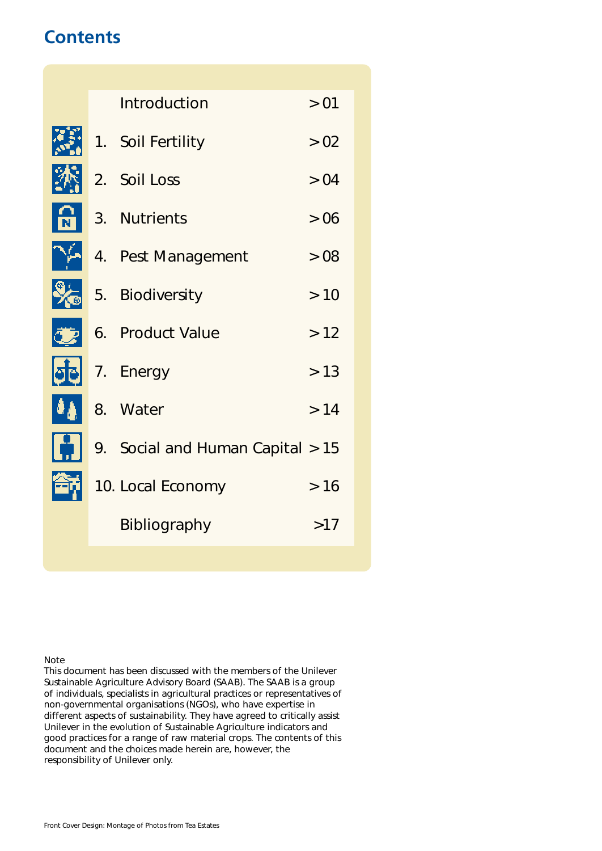# **Contents**

灦 沐  $\mathbf{B}$  $\frac{1}{2}$ 雨  $\boldsymbol{\theta}_0$ b. Ã,

|  | Introduction                     | > 01 |
|--|----------------------------------|------|
|  |                                  |      |
|  | 1. Soil Fertility                | > 02 |
|  | 2. Soil Loss                     | > 04 |
|  | 3. Nutrients                     | >06  |
|  | 4. Pest Management               | > 08 |
|  | 5. Biodiversity                  | >10  |
|  | 6. Product Value                 | >12  |
|  | 7. Energy                        | > 13 |
|  | 8. Water                         | >14  |
|  | 9. Social and Human Capital > 15 |      |
|  | 10. Local Economy                | >16  |
|  | <b>Bibliography</b>              | >17  |
|  |                                  |      |

Note

This document has been discussed with the members of the Unilever Sustainable Agriculture Advisory Board (SAAB). The SAAB is a group of individuals, specialists in agricultural practices or representatives of non-governmental organisations (NGOs), who have expertise in different aspects of sustainability. They have agreed to critically assist Unilever in the evolution of Sustainable Agriculture indicators and good practices for a range of raw material crops. The contents of this document and the choices made herein are, however, the responsibility of Unilever only.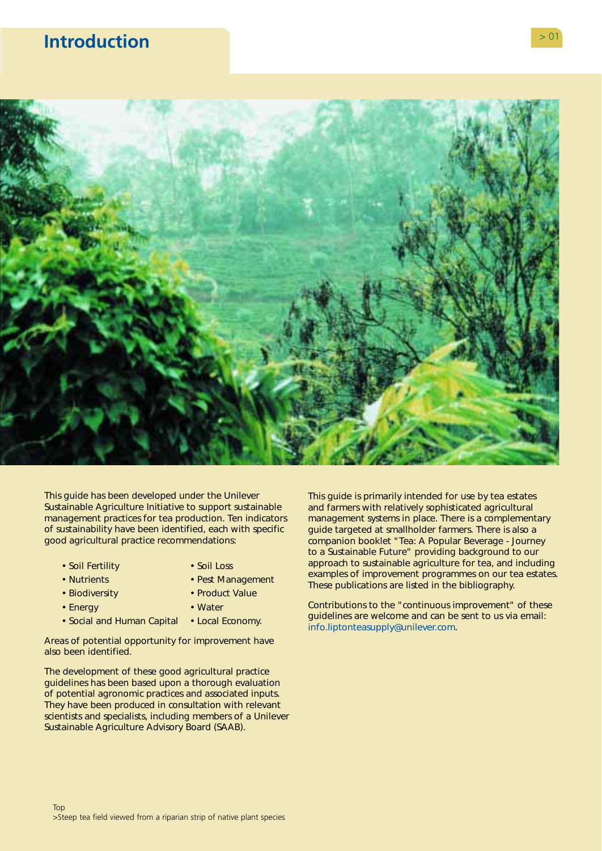# <span id="page-2-0"></span>**Introduction**  $> 0$ <sup>2</sup>



This guide has been developed under the Unilever Sustainable Agriculture Initiative to support sustainable management practices for tea production. Ten indicators of sustainability have been identified, each with specific good agricultural practice recommendations:

- 
- Soil Fertility Soil Loss
- 
- Nutrients Pest Management
- Biodiversity Product Value
- Energy  **Water**
- Social and Human Capital Local Economy.
- Areas of potential opportunity for improvement have also been identified.

The development of these good agricultural practice guidelines has been based upon a thorough evaluation of potential agronomic practices and associated inputs. They have been produced in consultation with relevant scientists and specialists, including members of a Unilever Sustainable Agriculture Advisory Board (SAAB).

This guide is primarily intended for use by tea estates and farmers with relatively sophisticated agricultural management systems in place. There is a complementary guide targeted at smallholder farmers. There is also a companion booklet "Tea: A Popular Beverage - Journey to a Sustainable Future" providing background to our approach to sustainable agriculture for tea, and including examples of improvement programmes on our tea estates. These publications are listed in the bibliography.

Contributions to the "continuous improvement" of these guidelines are welcome and can be sent to us via email: [info.liptonteasupply@unilever.com.](mailto:info.liptonteasupply@unilever.com)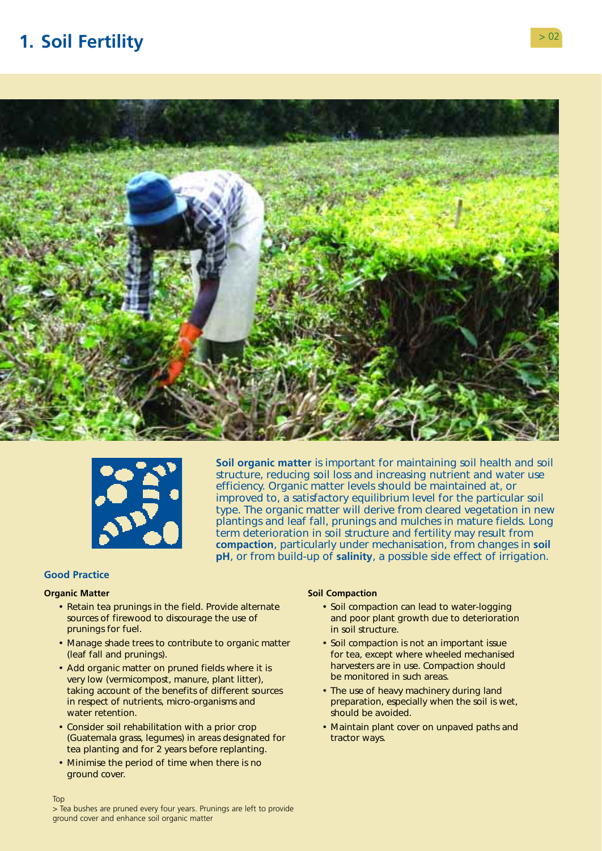# <span id="page-3-0"></span>**1. Soil Fertility** > 02





**Soil organic matter** is important for maintaining soil health and soil structure, reducing soil loss and increasing nutrient and water use efficiency. Organic matter levels should be maintained at, or improved to, a satisfactory equilibrium level for the particular soil type. The organic matter will derive from cleared vegetation in new plantings and leaf fall, prunings and mulches in mature fields. Long term deterioration in soil structure and fertility may result from **compaction**, particularly under mechanisation, from changes in **soil pH**, or from build-up of **salinity**, a possible side effect of irrigation.

# **Good Practice**

#### **Organic Matter**

Top

- Retain tea prunings in the field. Provide alternate sources of firewood to discourage the use of prunings for fuel.
- Manage shade trees to contribute to organic matter (leaf fall and prunings).
- Add organic matter on pruned fields where it is very low (vermicompost, manure, plant litter), taking account of the benefits of different sources in respect of nutrients, micro-organisms and water retention.
- Consider soil rehabilitation with a prior crop (Guatemala grass, legumes) in areas designated for tea planting and for 2 years before replanting.
- Minimise the period of time when there is no ground cover.

### **Soil Compaction**

- Soil compaction can lead to water-logging and poor plant growth due to deterioration in soil structure.
- Soil compaction is not an important issue for tea, except where wheeled mechanised harvesters are in use. Compaction should be monitored in such areas.
- The use of heavy machinery during land preparation, especially when the soil is wet, should be avoided.
- Maintain plant cover on unpaved paths and tractor ways.

> Tea bushes are pruned every four years. Prunings are left to provide ground cover and enhance soil organic matter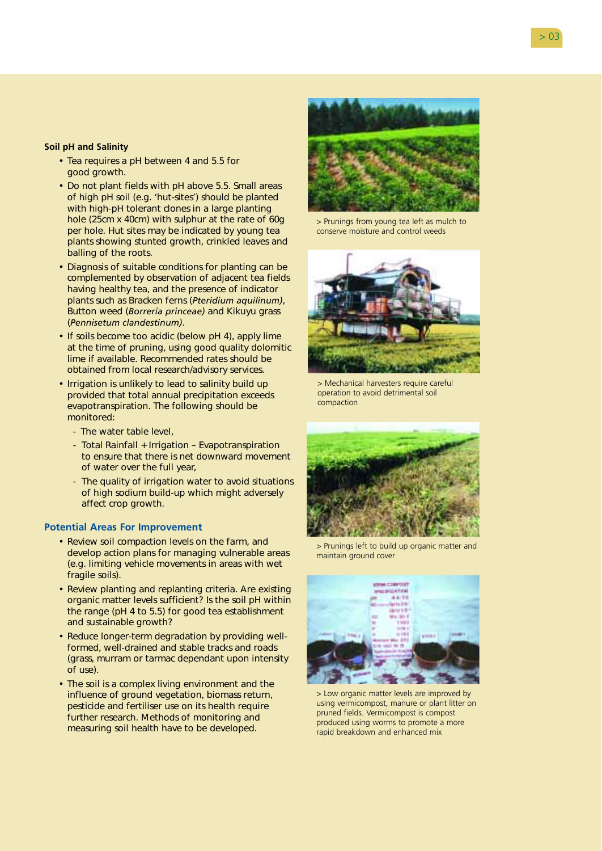# **Soil pH and Salinity**

- Tea requires a pH between 4 and 5.5 for good growth.
- Do not plant fields with pH above 5.5. Small areas of high pH soil (e.g. 'hut-sites') should be planted with high-pH tolerant clones in a large planting hole (25cm x 40cm) with sulphur at the rate of 60g per hole. Hut sites may be indicated by young tea plants showing stunted growth, crinkled leaves and balling of the roots.
- Diagnosis of suitable conditions for planting can be complemented by observation of adjacent tea fields having healthy tea, and the presence of indicator plants such as Bracken ferns (*Pteridium aquilinum)*, Button weed (*Borreria princeae)* and Kikuyu grass (*Pennisetum clandestinum)*.
- If soils become too acidic (below pH 4), apply lime at the time of pruning, using good quality dolomitic lime if available. Recommended rates should be obtained from local research/advisory services.
- Irrigation is unlikely to lead to salinity build up provided that total annual precipitation exceeds evapotranspiration. The following should be monitored:
	- The water table level,
	- Total Rainfall + Irrigation Evapotranspiration to ensure that there is net downward movement of water over the full year,
	- The quality of irrigation water to avoid situations of high sodium build-up which might adversely affect crop growth.

- Review soil compaction levels on the farm, and develop action plans for managing vulnerable areas (e.g. limiting vehicle movements in areas with wet fragile soils).
- Review planting and replanting criteria. Are existing organic matter levels sufficient? Is the soil pH within the range (pH 4 to 5.5) for good tea establishment and sustainable growth?
- Reduce longer-term degradation by providing wellformed, well-drained and stable tracks and roads (grass, murram or tarmac dependant upon intensity of use).
- The soil is a complex living environment and the influence of ground vegetation, biomass return, pesticide and fertiliser use on its health require further research. Methods of monitoring and measuring soil health have to be developed.



> Prunings from young tea left as mulch to conserve moisture and control weeds



> Mechanical harvesters require careful operation to avoid detrimental soil compaction



> Prunings left to build up organic matter and maintain ground cover



> Low organic matter levels are improved by using vermicompost, manure or plant litter on pruned fields. Vermicompost is compost produced using worms to promote a more rapid breakdown and enhanced mix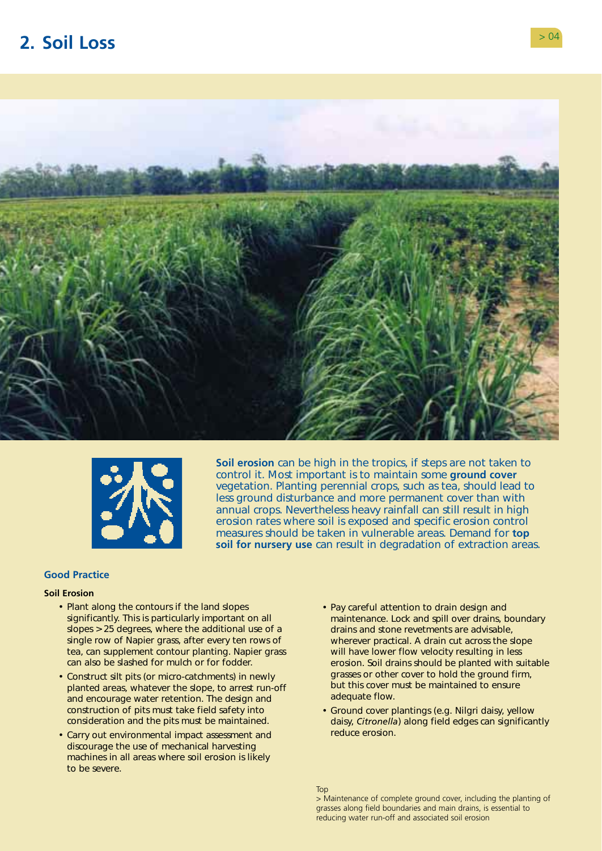# <span id="page-5-0"></span>**2. Soil Loss** > 04





**Soil erosion** can be high in the tropics, if steps are not taken to control it. Most important is to maintain some **ground cover**  vegetation. Planting perennial crops, such as tea, should lead to less ground disturbance and more permanent cover than with annual crops. Nevertheless heavy rainfall can still result in high erosion rates where soil is exposed and specific erosion control measures should be taken in vulnerable areas. Demand for **top soil for nursery use** can result in degradation of extraction areas.

# **Good Practice**

### **Soil Erosion**

- Plant along the contours if the land slopes significantly. This is particularly important on all slopes > 25 degrees, where the additional use of a single row of Napier grass, after every ten rows of tea, can supplement contour planting. Napier grass can also be slashed for mulch or for fodder.
- Construct silt pits (or micro-catchments) in newly planted areas, whatever the slope, to arrest run-off and encourage water retention. The design and construction of pits must take field safety into consideration and the pits must be maintained.
- Carry out environmental impact assessment and discourage the use of mechanical harvesting machines in all areas where soil erosion is likely to be severe.
- Pay careful attention to drain design and maintenance. Lock and spill over drains, boundary drains and stone revetments are advisable, wherever practical. A drain cut across the slope will have lower flow velocity resulting in less erosion. Soil drains should be planted with suitable grasses or other cover to hold the ground firm, but this cover must be maintained to ensure adequate flow.
- Ground cover plantings (e.g. Nilgri daisy, yellow daisy, *Citronella*) along field edges can significantly reduce erosion.

Top

> Maintenance of complete ground cover, including the planting of grasses along field boundaries and main drains, is essential to reducing water run-off and associated soil erosion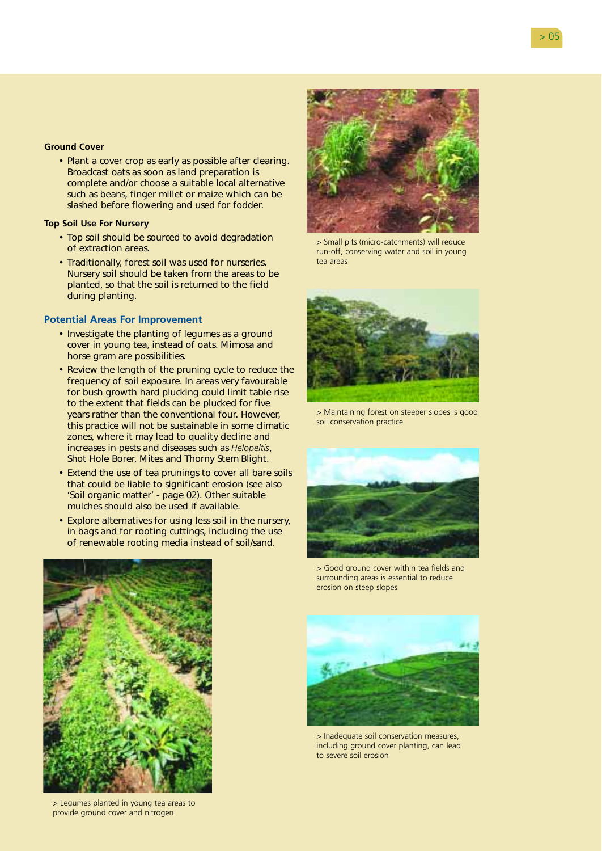### **Ground Cover**

• Plant a cover crop as early as possible after clearing. Broadcast oats as soon as land preparation is complete and/or choose a suitable local alternative such as beans, finger millet or maize which can be slashed before flowering and used for fodder.

### **Top Soil Use For Nursery**

- Top soil should be sourced to avoid degradation of extraction areas.
- Traditionally, forest soil was used for nurseries. Nursery soil should be taken from the areas to be planted, so that the soil is returned to the field during planting.

- Investigate the planting of legumes as a ground cover in young tea, instead of oats. Mimosa and horse gram are possibilities.
- Review the length of the pruning cycle to reduce the frequency of soil exposure. In areas very favourable for bush growth hard plucking could limit table rise to the extent that fields can be plucked for five years rather than the conventional four. However, this practice will not be sustainable in some climatic zones, where it may lead to quality decline and increases in pests and diseases such as *Helopeltis*, Shot Hole Borer, Mites and Thorny Stem Blight.
- Extend the use of tea prunings to cover all bare soils that could be liable to significant erosion (see also 'Soil organic matter' - page 02). Other suitable mulches should also be used if available.
- Explore alternatives for using less soil in the nursery, in bags and for rooting cuttings, including the use of renewable rooting media instead of soil/sand.



> Small pits (micro-catchments) will reduce run-off, conserving water and soil in young tea areas



> Maintaining forest on steeper slopes is good soil conservation practice



> Good ground cover within tea fields and surrounding areas is essential to reduce erosion on steep slopes



> Legumes planted in young tea areas to provide ground cover and nitrogen



> Inadequate soil conservation measures, including ground cover planting, can lead to severe soil erosion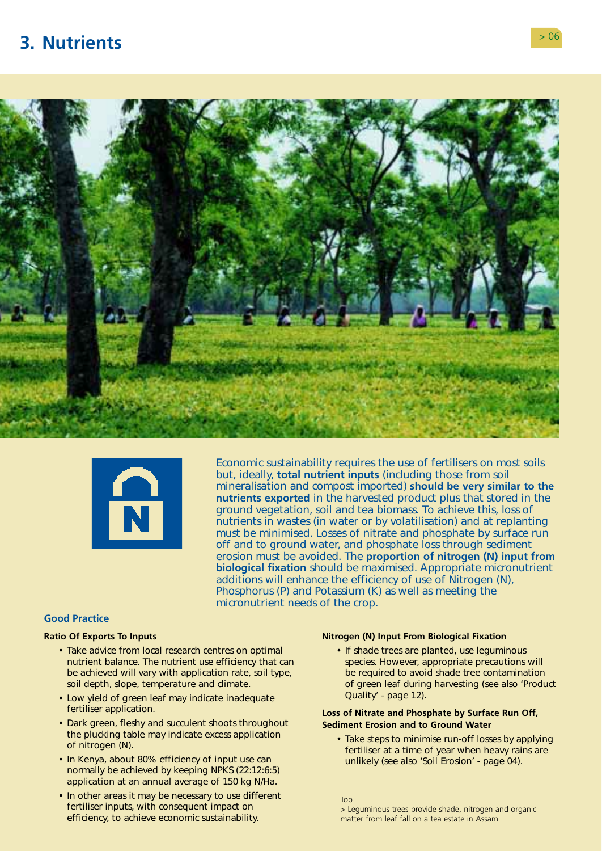# <span id="page-7-0"></span>**3. Nutrients** > 06





Economic sustainability requires the use of fertilisers on most soils but, ideally, **total nutrient inputs** (including those from soil mineralisation and compost imported) **should be very similar to the nutrients exported** in the harvested product plus that stored in the ground vegetation, soil and tea biomass. To achieve this, loss of nutrients in wastes (in water or by volatilisation) and at replanting must be minimised. Losses of nitrate and phosphate by surface run off and to ground water, and phosphate loss through sediment erosion must be avoided. The **proportion of nitrogen (N) input from biological fixation** should be maximised. Appropriate micronutrient additions will enhance the efficiency of use of Nitrogen (N), Phosphorus (P) and Potassium (K) as well as meeting the micronutrient needs of the crop.

### **Good Practice**

- Take advice from local research centres on optimal If shade trees are planted, use leguminous nutrient balance. The nutrient use efficiency that can species. However, appropriate precautions will be achieved will vary with application rate, soil type, be required to avoid shade tree contamination soil depth, slope, temperature and climate. of green leaf during harvesting (see also 'Product
- Low yield of green leaf may indicate inadequate **Canadical** Cuality' page 12). fertiliser application. **Loss of Nitrate and Phosphate by Surface Run Off,**
- Dark green, fleshy and succulent shoots throughout **Sediment Erosion and to Ground Water**
- normally be achieved by keeping NPKS (22:12:6:5) application at an annual average of 150 kg N/Ha.
- In other areas it may be necessary to use different Top Top fertiliser inputs, with consequent impact on  $\frac{1}{2}$  Leguminous trees provide shade, nitrogen and organic efficiency, to achieve economic sustainability. matter from leaf fall on a tea estate in Assam

### **Ratio Of Exports To Inputs Nitrogen (N) Input From Biological Fixation**

the plucking table may indicate excess application • Take steps to minimise run-off losses by applying<br>of nitrogen (N).<br>• In Kenya, about 80% efficiency of input use can<br>• In Kenya, about 80% efficiency of input use can unlikely (see also 'Soil Erosion' - page 04).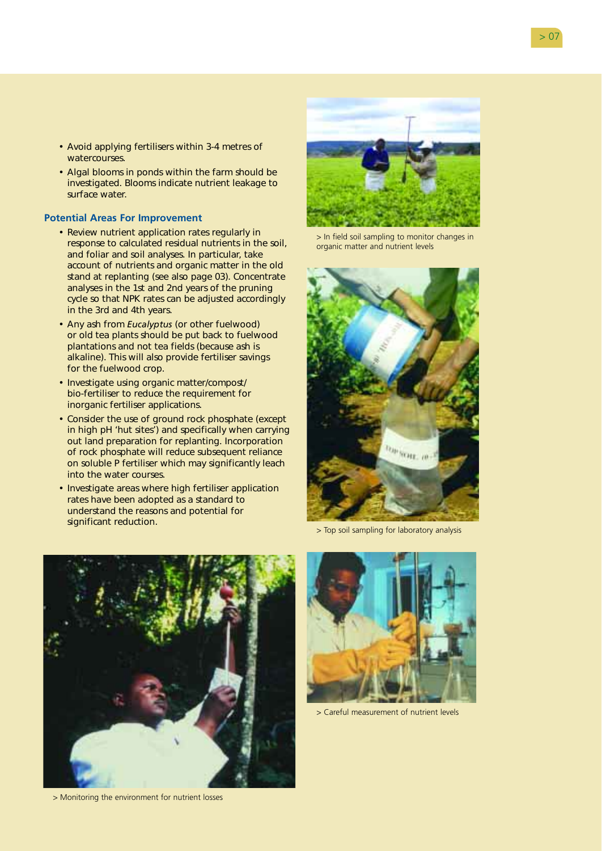- Avoid applying fertilisers within 3-4 metres of watercourses.
- Algal blooms in ponds within the farm should be investigated. Blooms indicate nutrient leakage to surface water.

- Review nutrient application rates regularly in response to calculated residual nutrients in the soil, and foliar and soil analyses. In particular, take account of nutrients and organic matter in the old stand at replanting (see also page 03). Concentrate analyses in the 1st and 2nd years of the pruning cycle so that NPK rates can be adjusted accordingly in the 3rd and 4th years.
- Any ash from *Eucalyptus* (or other fuelwood) or old tea plants should be put back to fuelwood plantations and not tea fields (because ash is alkaline). This will also provide fertiliser savings for the fuelwood crop.
- Investigate using organic matter/compost/ bio-fertiliser to reduce the requirement for inorganic fertiliser applications.
- Consider the use of ground rock phosphate (except in high pH 'hut sites') and specifically when carrying out land preparation for replanting. Incorporation of rock phosphate will reduce subsequent reliance on soluble P fertiliser which may significantly leach into the water courses.
- Investigate areas where high fertiliser application rates have been adopted as a standard to understand the reasons and potential for significant reduction.



> Monitoring the environment for nutrient losses



> In field soil sampling to monitor changes in organic matter and nutrient levels



> Top soil sampling for laboratory analysis



> Careful measurement of nutrient levels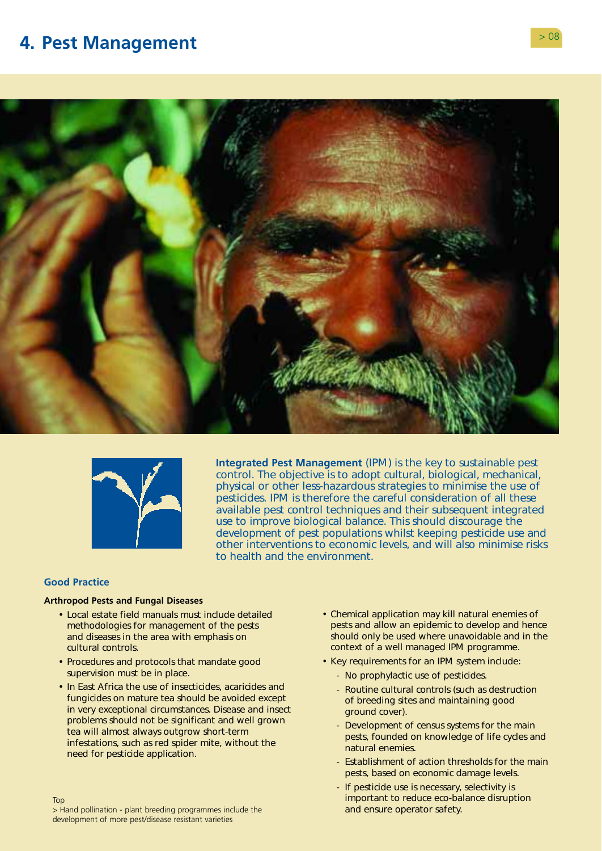# <span id="page-9-0"></span>**4. Pest Management**  $> 08$





**Integrated Pest Management** (IPM) is the key to sustainable pest control. The objective is to adopt cultural, biological, mechanical, physical or other less-hazardous strategies to minimise the use of pesticides. IPM is therefore the careful consideration of all these available pest control techniques and their subsequent integrated use to improve biological balance. This should discourage the development of pest populations whilst keeping pesticide use and other interventions to economic levels, and will also minimise risks to health and the environment.

# **Good Practice**

Top

#### **Arthropod Pests and Fungal Diseases**

- Local estate field manuals must include detailed methodologies for management of the pests and diseases in the area with emphasis on cultural controls.
- Procedures and protocols that mandate good supervision must be in place.
- In East Africa the use of insecticides, acaricides and fungicides on mature tea should be avoided except in very exceptional circumstances. Disease and insect problems should not be significant and well grown tea will almost always outgrow short-term infestations, such as red spider mite, without the need for pesticide application.
- Chemical application may kill natural enemies of pests and allow an epidemic to develop and hence should only be used where unavoidable and in the context of a well managed IPM programme.
- Key requirements for an IPM system include:
	- No prophylactic use of pesticides.
	- Routine cultural controls (such as destruction of breeding sites and maintaining good ground cover).
	- Development of census systems for the main pests, founded on knowledge of life cycles and natural enemies.
	- Establishment of action thresholds for the main pests, based on economic damage levels.
	- If pesticide use is necessary, selectivity is important to reduce eco-balance disruption and ensure operator safety.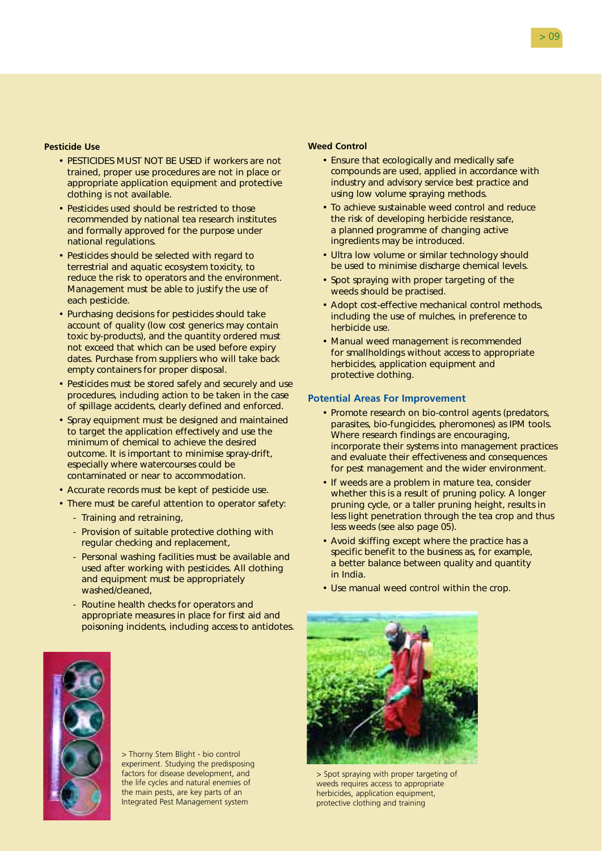### **Pesticide Use**

- PESTICIDES MUST NOT BE USED if workers are not trained, proper use procedures are not in place or appropriate application equipment and protective clothing is not available.
- Pesticides used should be restricted to those recommended by national tea research institutes and formally approved for the purpose under national regulations.
- Pesticides should be selected with regard to terrestrial and aquatic ecosystem toxicity, to reduce the risk to operators and the environment. Management must be able to justify the use of each pesticide.
- Purchasing decisions for pesticides should take account of quality (low cost generics may contain toxic by-products), and the quantity ordered must not exceed that which can be used before expiry dates. Purchase from suppliers who will take back empty containers for proper disposal.
- Pesticides must be stored safely and securely and use procedures, including action to be taken in the case of spillage accidents, clearly defined and enforced.
- Spray equipment must be designed and maintained to target the application effectively and use the minimum of chemical to achieve the desired outcome. It is important to minimise spray-drift, especially where watercourses could be contaminated or near to accommodation.
- Accurate records must be kept of pesticide use.
- There must be careful attention to operator safety:
	- Training and retraining,
	- Provision of suitable protective clothing with regular checking and replacement,
	- Personal washing facilities must be available and used after working with pesticides. All clothing and equipment must be appropriately washed/cleaned,
	- Routine health checks for operators and appropriate measures in place for first aid and poisoning incidents, including access to antidotes.

# **Weed Control**

- Ensure that ecologically and medically safe compounds are used, applied in accordance with industry and advisory service best practice and using low volume spraying methods.
- To achieve sustainable weed control and reduce the risk of developing herbicide resistance, a planned programme of changing active ingredients may be introduced.
- Ultra low volume or similar technology should be used to minimise discharge chemical levels.
- Spot spraying with proper targeting of the weeds should be practised.
- Adopt cost-effective mechanical control methods, including the use of mulches, in preference to herbicide use.
- Manual weed management is recommended for smallholdings without access to appropriate herbicides, application equipment and protective clothing.

#### **Potential Areas For Improvement**

- Promote research on bio-control agents (predators, parasites, bio-fungicides, pheromones) as IPM tools. Where research findings are encouraging, incorporate their systems into management practices and evaluate their effectiveness and consequences for pest management and the wider environment.
- If weeds are a problem in mature tea, consider whether this is a result of pruning policy. A longer pruning cycle, or a taller pruning height, results in less light penetration through the tea crop and thus less weeds (see also page 05).
- Avoid skiffing except where the practice has a specific benefit to the business as, for example, a better balance between quality and quantity in India.
- Use manual weed control within the crop.



> Thorny Stem Blight - bio control experiment. Studying the predisposing factors for disease development, and the life cycles and natural enemies of the main pests, are key parts of an Integrated Pest Management system

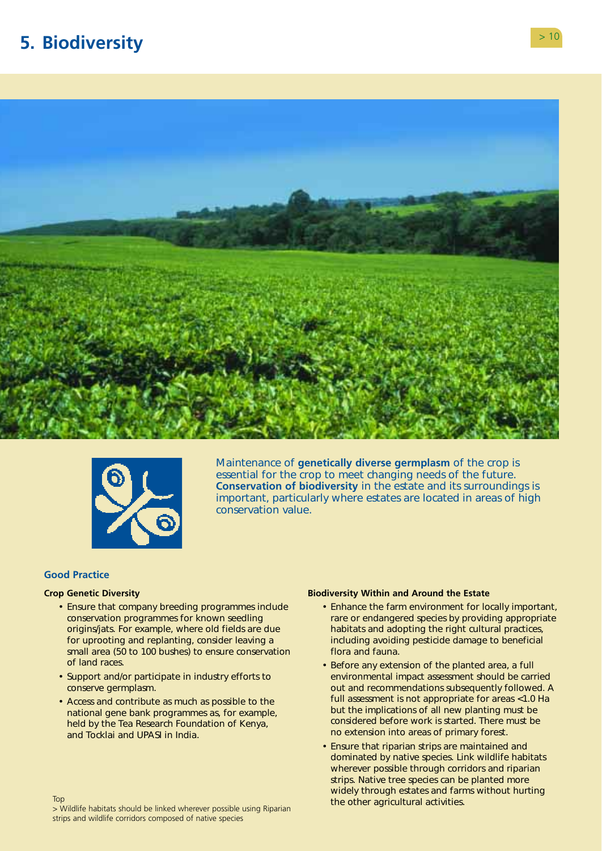# <span id="page-11-0"></span>**5. Biodiversity** > 10





Maintenance of **genetically diverse germplasm** of the crop is essential for the crop to meet changing needs of the future. **Conservation of biodiversity** in the estate and its surroundings is important, particularly where estates are located in areas of high conservation value.

#### **Good Practice**

Top

#### **Crop Genetic Diversity**

- Ensure that company breeding programmes include conservation programmes for known seedling origins/jats. For example, where old fields are due for uprooting and replanting, consider leaving a small area (50 to 100 bushes) to ensure conservation of land races.
- Support and/or participate in industry efforts to conserve germplasm.
- Access and contribute as much as possible to the national gene bank programmes as, for example, held by the Tea Research Foundation of Kenya, and Tocklai and UPASI in India.

#### **Biodiversity Within and Around the Estate**

- Enhance the farm environment for locally important, rare or endangered species by providing appropriate habitats and adopting the right cultural practices, including avoiding pesticide damage to beneficial flora and fauna.
- Before any extension of the planted area, a full environmental impact assessment should be carried out and recommendations subsequently followed. A full assessment is not appropriate for areas <1.0 Ha but the implications of all new planting must be considered before work is started. There must be no extension into areas of primary forest.
- Ensure that riparian strips are maintained and dominated by native species. Link wildlife habitats wherever possible through corridors and riparian strips. Native tree species can be planted more widely through estates and farms without hurting the other agricultural activities.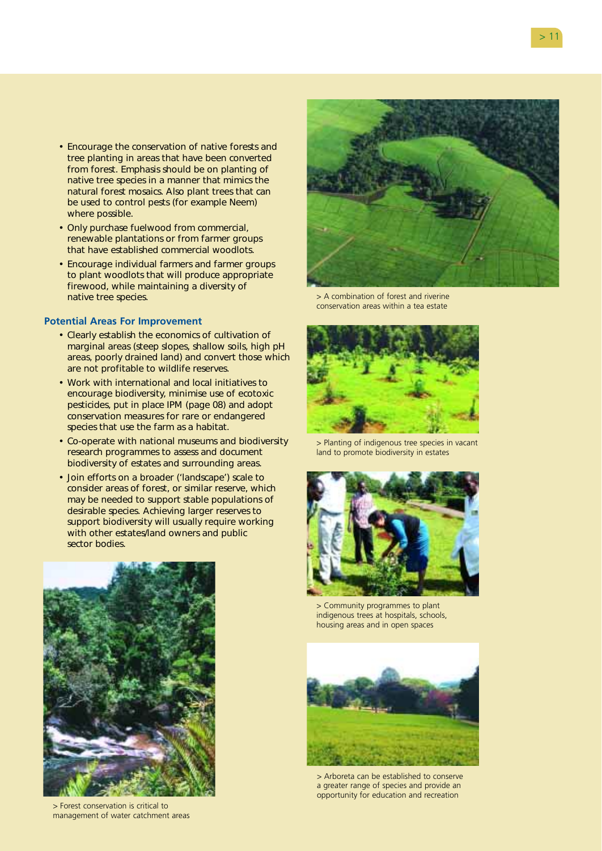- Encourage the conservation of native forests and tree planting in areas that have been converted from forest. Emphasis should be on planting of native tree species in a manner that mimics the natural forest mosaics. Also plant trees that can be used to control pests (for example Neem) where possible.
- Only purchase fuelwood from commercial, renewable plantations or from farmer groups that have established commercial woodlots.
- Encourage individual farmers and farmer groups to plant woodlots that will produce appropriate firewood, while maintaining a diversity of native tree species.

- Clearly establish the economics of cultivation of marginal areas (steep slopes, shallow soils, high pH areas, poorly drained land) and convert those which are not profitable to wildlife reserves.
- Work with international and local initiatives to encourage biodiversity, minimise use of ecotoxic pesticides, put in place IPM (page 08) and adopt conservation measures for rare or endangered species that use the farm as a habitat.
- Co-operate with national museums and biodiversity research programmes to assess and document biodiversity of estates and surrounding areas.
- Join efforts on a broader ('landscape') scale to consider areas of forest, or similar reserve, which may be needed to support stable populations of desirable species. Achieving larger reserves to support biodiversity will usually require working with other estates/land owners and public sector bodies.



> Forest conservation is critical to management of water catchment areas



> A combination of forest and riverine conservation areas within a tea estate



> Planting of indigenous tree species in vacant land to promote biodiversity in estates



> Community programmes to plant indigenous trees at hospitals, schools, housing areas and in open spaces



> Arboreta can be established to conserve a greater range of species and provide an opportunity for education and recreation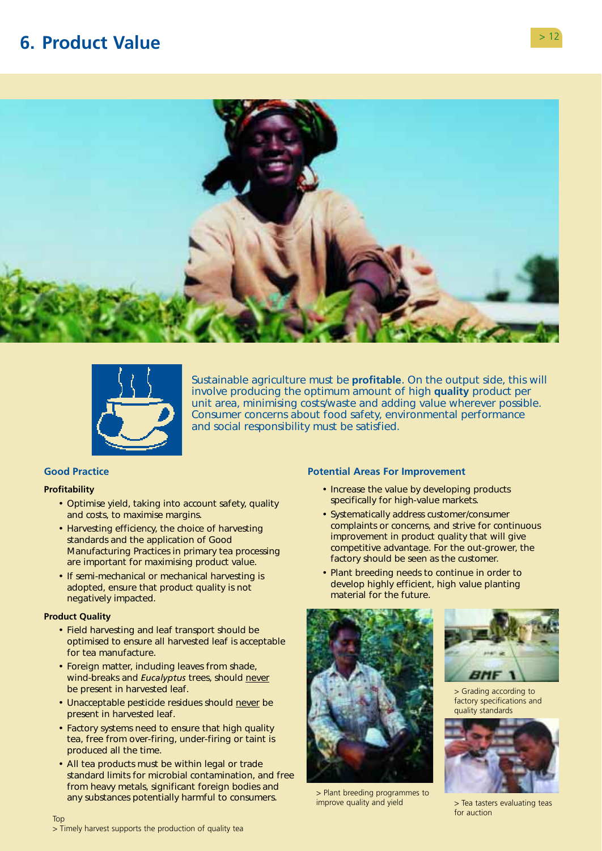# <span id="page-13-0"></span>**6. Product Value**





Sustainable agriculture must be **profitable**. On the output side, this will involve producing the optimum amount of high **quality** product per unit area, minimising costs/waste and adding value wherever possible. Consumer concerns about food safety, environmental performance and social responsibility must be satisfied.

# **Good Practice**

#### **Profitability**

- Optimise yield, taking into account safety, quality and costs, to maximise margins.
- Harvesting efficiency, the choice of harvesting standards and the application of Good Manufacturing Practices in primary tea processing are important for maximising product value.
- If semi-mechanical or mechanical harvesting is adopted, ensure that product quality is not negatively impacted.

#### **Product Quality**

- Field harvesting and leaf transport should be optimised to ensure all harvested leaf is acceptable for tea manufacture.
- Foreign matter, including leaves from shade, wind-breaks and *Eucalyptus* trees, should never be present in harvested leaf.
- Unacceptable pesticide residues should never be present in harvested leaf.
- Factory systems need to ensure that high quality tea, free from over-firing, under-firing or taint is produced all the time.
- All tea products must be within legal or trade standard limits for microbial contamination, and free from heavy metals, significant foreign bodies and any substances potentially harmful to consumers.

- Increase the value by developing products specifically for high-value markets.
- Systematically address customer/consumer complaints or concerns, and strive for continuous improvement in product quality that will give competitive advantage. For the out-grower, the factory should be seen as the customer.
- Plant breeding needs to continue in order to develop highly efficient, high value planting material for the future.



> Plant breeding programmes to improve quality and yield



> Grading according to factory specifications and quality standards



> Tea tasters evaluating teas for auction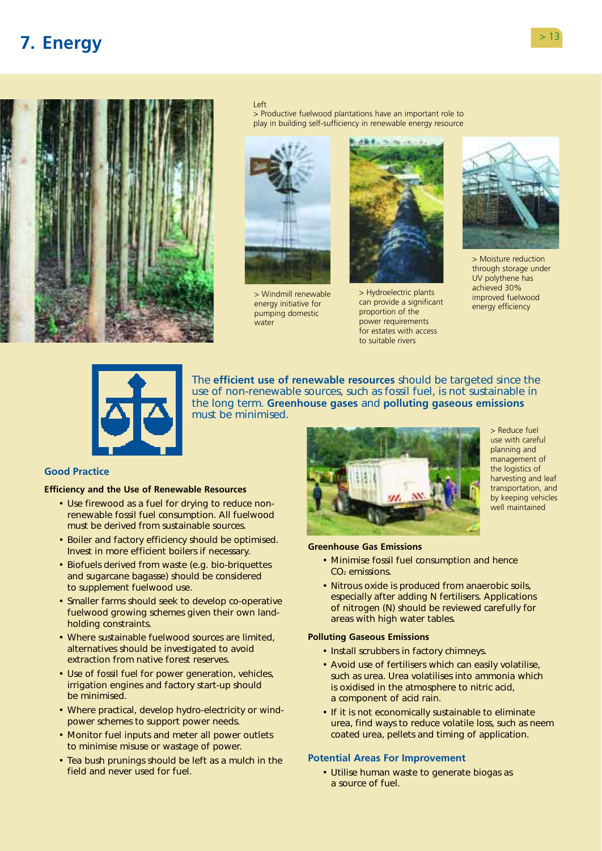# <span id="page-14-0"></span>**7. Energy**



#### Left

> Productive fuelwood plantations have an important role to play in building self-sufficiency in renewable energy resource



> Windmill renewable energy initiative for pumping domestic water



> Hydroelectric plants can provide a significant proportion of the power requirements for estates with access to suitable rivers



> Moisture reduction through storage under UV polythene has achieved 30% improved fuelwood energy efficiency



must be minimised. The **efficient use of renewable resources** should be targeted since the use of non-renewable sources, such as fossil fuel, is not sustainable in the long term. **Greenhouse gases** and **polluting gaseous emissions** 

### **Good Practice**

### **Efficiency and the Use of Renewable Resources**

- Use firewood as a fuel for drying to reduce nonrenewable fossil fuel consumption. All fuelwood must be derived from sustainable sources.
- Boiler and factory efficiency should be optimised. Invest in more efficient boilers if necessary.
- Biofuels derived from waste (e.g. bio-briquettes and sugarcane bagasse) should be considered to supplement fuelwood use.
- Smaller farms should seek to develop co-operative fuelwood growing schemes given their own landholding constraints.
- Where sustainable fuelwood sources are limited, alternatives should be investigated to avoid extraction from native forest reserves.
- Use of fossil fuel for power generation, vehicles, irrigation engines and factory start-up should be minimised.
- Where practical, develop hydro-electricity or windpower schemes to support power needs.
- Monitor fuel inputs and meter all power outlets to minimise misuse or wastage of power.
- Tea bush prunings should be left as a mulch in the field and never used for fuel.



> Reduce fuel use with careful planning and management of the logistics of harvesting and leaf transportation, and by keeping vehicles well maintained

#### **Greenhouse Gas Emissions**

- Minimise fossil fuel consumption and hence CO<sub>2</sub> emissions.
- Nitrous oxide is produced from anaerobic soils, especially after adding N fertilisers. Applications of nitrogen (N) should be reviewed carefully for areas with high water tables.

### **Polluting Gaseous Emissions**

- Install scrubbers in factory chimneys.
- Avoid use of fertilisers which can easily volatilise, such as urea. Urea volatilises into ammonia which is oxidised in the atmosphere to nitric acid, a component of acid rain.
- If it is not economically sustainable to eliminate urea, find ways to reduce volatile loss, such as neem coated urea, pellets and timing of application.

### **Potential Areas For Improvement**

• Utilise human waste to generate biogas as a source of fuel.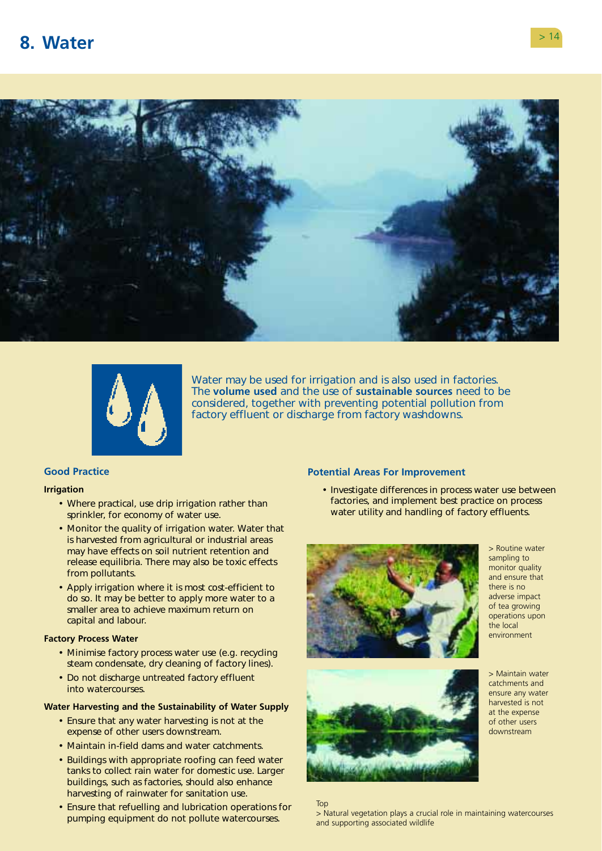<span id="page-15-0"></span>



Water may be used for irrigation and is also used in factories. The **volume used** and the use of **sustainable sources** need to be considered, together with preventing potential pollution from factory effluent or discharge from factory washdowns.

### **Good Practice**

#### **Irrigation**

- Where practical, use drip irrigation rather than sprinkler, for economy of water use.
- Monitor the quality of irrigation water. Water that is harvested from agricultural or industrial areas may have effects on soil nutrient retention and release equilibria. There may also be toxic effects from pollutants.
- Apply irrigation where it is most cost-efficient to do so. It may be better to apply more water to a smaller area to achieve maximum return on capital and labour.

### **Factory Process Water**

- Minimise factory process water use (e.g. recycling steam condensate, dry cleaning of factory lines).
- Do not discharge untreated factory effluent into watercourses.

#### **Water Harvesting and the Sustainability of Water Supply**

- Ensure that any water harvesting is not at the expense of other users downstream.
- Maintain in-field dams and water catchments.
- Buildings with appropriate roofing can feed water tanks to collect rain water for domestic use. Larger buildings, such as factories, should also enhance harvesting of rainwater for sanitation use.
- Ensure that refuelling and lubrication operations for pumping equipment do not pollute watercourses.

#### **Potential Areas For Improvement**

• Investigate differences in process water use between factories, and implement best practice on process water utility and handling of factory effluents.



> Routine water sampling to monitor quality and ensure that there is no adverse impact of tea growing operations upon the local environment



> Maintain water catchments and ensure any water harvested is not at the expense of other users downstream

#### Top

> Natural vegetation plays a crucial role in maintaining watercourses and supporting associated wildlife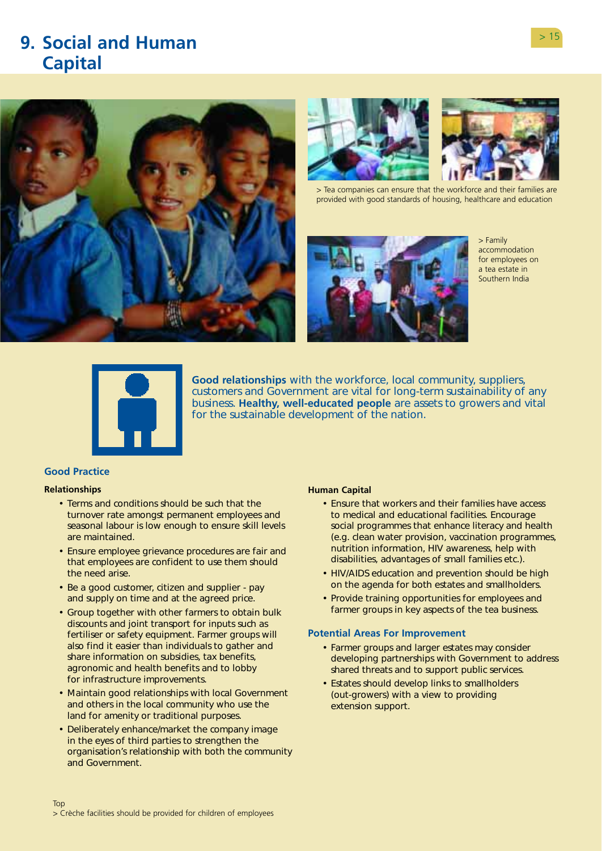# <span id="page-16-0"></span>**9. Social and Human Capital**







> Tea companies can ensure that the workforce and their families are provided with good standards of housing, healthcare and education



> Family accommodation for employees on a tea estate in Southern India



**Good relationships** with the workforce, local community, suppliers, customers and Government are vital for long-term sustainability of any business. **Healthy, well-educated people** are assets to growers and vital for the sustainable development of the nation.

# **Good Practice**

### **Relationships**

- Terms and conditions should be such that the turnover rate amongst permanent employees and seasonal labour is low enough to ensure skill levels are maintained.
- Ensure employee grievance procedures are fair and that employees are confident to use them should the need arise.
- Be a good customer, citizen and supplier pay and supply on time and at the agreed price.
- Group together with other farmers to obtain bulk discounts and joint transport for inputs such as fertiliser or safety equipment. Farmer groups will also find it easier than individuals to gather and share information on subsidies, tax benefits, agronomic and health benefits and to lobby for infrastructure improvements.
- Maintain good relationships with local Government and others in the local community who use the land for amenity or traditional purposes.
- Deliberately enhance/market the company image in the eyes of third parties to strengthen the organisation's relationship with both the community and Government.

#### **Human Capital**

- Ensure that workers and their families have access to medical and educational facilities. Encourage social programmes that enhance literacy and health (e.g. clean water provision, vaccination programmes, nutrition information, HIV awareness, help with disabilities, advantages of small families etc.).
- HIV/AIDS education and prevention should be high on the agenda for both estates and smallholders.
- Provide training opportunities for employees and farmer groups in key aspects of the tea business.

- Farmer groups and larger estates may consider developing partnerships with Government to address shared threats and to support public services.
- Estates should develop links to smallholders (out-growers) with a view to providing extension support.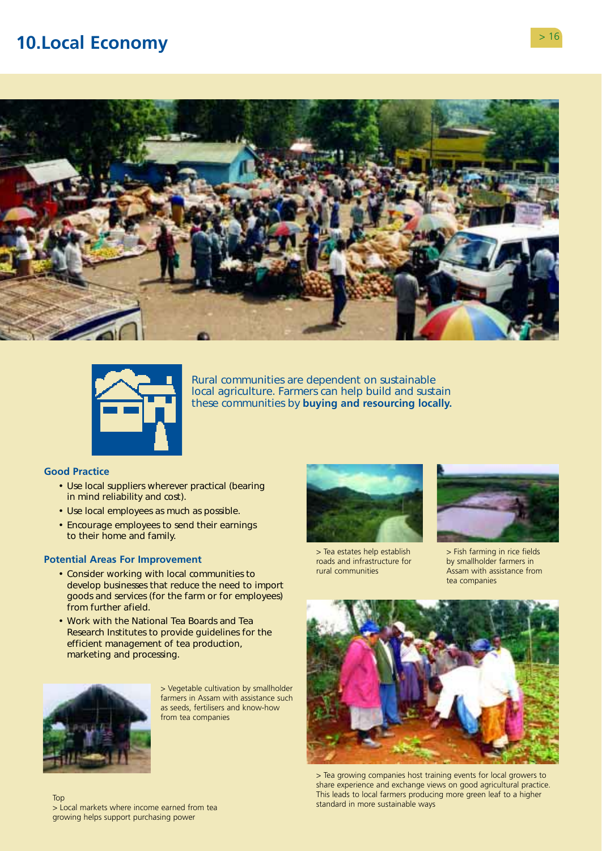# <span id="page-17-0"></span>**10.Local Economy** > 16





Rural communities are dependent on sustainable local agriculture. Farmers can help build and sustain these communities by **buying and resourcing locally.** 

### **Good Practice**

- Use local suppliers wherever practical (bearing in mind reliability and cost).
- Use local employees as much as possible.
- Encourage employees to send their earnings to their home and family.

#### **Potential Areas For Improvement**

- Consider working with local communities to develop businesses that reduce the need to import goods and services (for the farm or for employees) from further afield.
- Work with the National Tea Boards and Tea Research Institutes to provide guidelines for the efficient management of tea production, marketing and processing.



> Vegetable cultivation by smallholder farmers in Assam with assistance such as seeds, fertilisers and know-how from tea companies



> Tea estates help establish roads and infrastructure for rural communities



> Fish farming in rice fields by smallholder farmers in Assam with assistance from tea companies



> Tea growing companies host training events for local growers to share experience and exchange views on good agricultural practice. This leads to local farmers producing more green leaf to a higher Standard in more sustainable ways Top<br>Standard in more sustainable ways

> Local markets where income earned from tea growing helps support purchasing power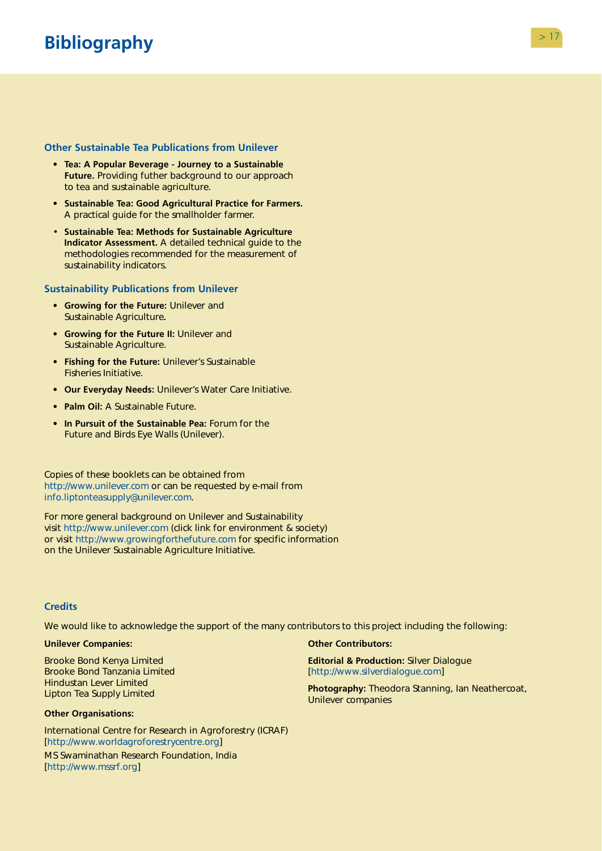# <span id="page-18-0"></span>**Bibliography Bibliography Property Property Property Property Property Property Property Property Property Property Property Property Property Property Property Property Property Prop**

# **Other Sustainable Tea Publications from Unilever**

- **Tea: A Popular Beverage Journey to a Sustainable Future.** Providing futher background to our approach to tea and sustainable agriculture.
- **Sustainable Tea: Good Agricultural Practice for Farmers.**  A practical guide for the smallholder farmer.
- **Sustainable Tea: Methods for Sustainable Agriculture Indicator Assessment.** A detailed technical guide to the methodologies recommended for the measurement of sustainability indicators.

### **Sustainability Publications from Unilever**

- **Growing for the Future:** Unilever and Sustainable Agriculture**.**
- **Growing for the Future II:** Unilever and Sustainable Agriculture.
- **Fishing for the Future:** Unilever's Sustainable Fisheries Initiative.
- **Our Everyday Needs:** Unilever's Water Care Initiative.
- **Palm Oil:** A Sustainable Future.
- **In Pursuit of the Sustainable Pea:** Forum for the Future and Birds Eye Walls (Unilever).

Copies of these booklets can be obtained from [http://www.unilever.com o](http://www.unilever.com)r can be requested by e-mail from [info.liptonteasupply@unilever.com.](mailto:info.liptonteasupply@unilever.com) 

For more general background on Unilever and Sustainability visit<http://www.unilever.com>(click link for environment & society) or visit<http://www.growingforthefuture.com>for specific information on the Unilever Sustainable Agriculture Initiative.

### **Credits**

We would like to acknowledge the support of the many contributors to this project including the following:

#### **Unilever Companies:**

Brooke Bond Kenya Limited Brooke Bond Tanzania Limited Hindustan Lever Limited Lipton Tea Supply Limited

#### **Other Organisations:**

International Centre for Research in Agroforestry (ICRAF) [\[http://www.worldagroforestrycentre.org\]](http://www.worldagroforestrycentre.org) 

MS Swaminathan Research Foundation, India [\[http://www.mssrf.org\]](http://www.mssrf.org) 

#### **Other Contributors:**

**Editorial & Production:** Silver Dialogue [\[http://www.silverdialogue.com\]](http://www.silverdialogue.com) 

**Photography:** Theodora Stanning, Ian Neathercoat, Unilever companies